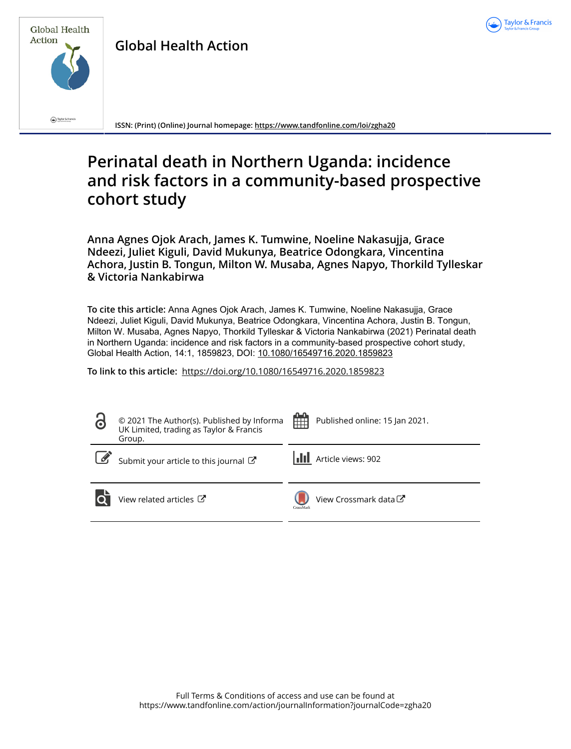



**Global Health Action**

**ISSN: (Print) (Online) Journal homepage:<https://www.tandfonline.com/loi/zgha20>**

# **Perinatal death in Northern Uganda: incidence and risk factors in a community-based prospective cohort study**

**Anna Agnes Ojok Arach, James K. Tumwine, Noeline Nakasujja, Grace Ndeezi, Juliet Kiguli, David Mukunya, Beatrice Odongkara, Vincentina Achora, Justin B. Tongun, Milton W. Musaba, Agnes Napyo, Thorkild Tylleskar & Victoria Nankabirwa**

**To cite this article:** Anna Agnes Ojok Arach, James K. Tumwine, Noeline Nakasujja, Grace Ndeezi, Juliet Kiguli, David Mukunya, Beatrice Odongkara, Vincentina Achora, Justin B. Tongun, Milton W. Musaba, Agnes Napyo, Thorkild Tylleskar & Victoria Nankabirwa (2021) Perinatal death in Northern Uganda: incidence and risk factors in a community-based prospective cohort study, Global Health Action, 14:1, 1859823, DOI: [10.1080/16549716.2020.1859823](https://www.tandfonline.com/action/showCitFormats?doi=10.1080/16549716.2020.1859823)

**To link to this article:** <https://doi.org/10.1080/16549716.2020.1859823>

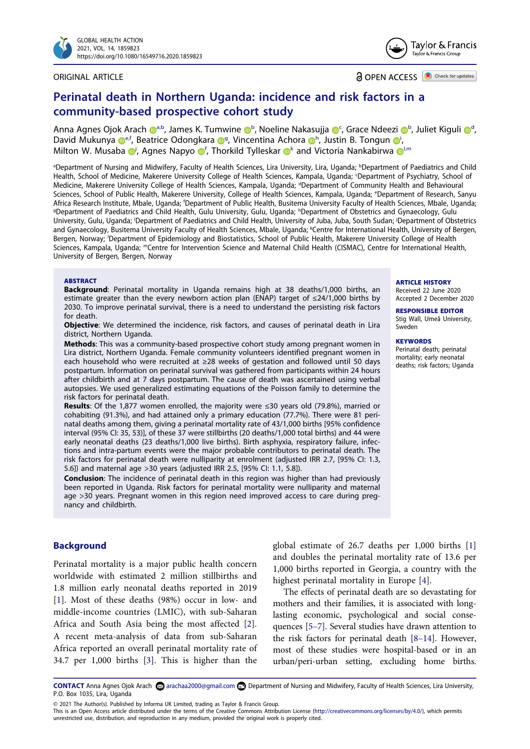

#### ORIGINAL ARTICLE



**a** OPEN ACCESS **D** Check for updates

## **Perinatal death in Northern Uganda: incidence and risk factors in a community-based prospective cohort study**

Anna Agnes Ojok Arach @[a,b,](#page-1-0) Jam[e](http://orcid.org/0000-0002-3422-7460)s K. Tumwine @[b](#page-1-0), Noeline Nakasujja @[c](#page-1-1), Grace Ndeez[i](http://orcid.org/0000-0002-5892-8632) @b, Juliet Kiguli @[d](#page-1-2), David Mukunya D<sup>[e](#page-1-3),f</sup>, Be[a](http://orcid.org/0000-0002-9476-0486)trice Odon[g](#page-1-5)kara D<sup>g</sup>, Vincentina Ac[h](#page-1-5)ora D<sup>h</sup>, Just[i](#page-1-6)n B. Tongun D<sup>i</sup>, Milt[o](http://orcid.org/0000-0003-4333-3588)n W. Mus[a](http://orcid.org/0000-0002-9952-8942)ba  $\mathbf{O}$  $\mathbf{O}$  $\mathbf{O}$ , Agnes Napyo  $\mathbf{O}^{\mathsf{f}}$ , Tho[r](http://orcid.org/0000-0003-4801-4324)ki[l](#page-1-8)d Tylleskar  $\mathbf{O}^{\mathsf{k}}$  and Victoria Nankabirwa  $\mathbf{O}^{\mathsf{l},\mathsf{m}}$ 

<span id="page-1-6"></span><span id="page-1-5"></span><span id="page-1-4"></span><span id="page-1-3"></span><span id="page-1-2"></span><span id="page-1-1"></span><span id="page-1-0"></span><sup>a</sup>Department of Nursing and Midwifery, Faculty of Health Sciences, Lira University, Lira, Uganda; <sup>b</sup>Department of Paediatrics and Child Health, School of Medicine, Makerere University College of Health Sciences, Kampala, Uganda; c Department of Psychiatry, School of Medicine, Makerere University College of Health Sciences, Kampala, Uganda; <sup>d</sup>Department of Community Health and Behavioural Sciences, School of Public Health, Makerere University, College of Health Sciences, Kampala, Uganda; e Department of Research, Sanyu Africa Research Institute, Mbale, Uganda; <sup>f</sup>Department of Public Health, Busitema University Faculty of Health Sciences, Mbale, Uganda;<br>PDepartment of Paediatrics and Child Health, Gulu University, Gulu, Uganda; <sup>h</sup>Depart Department of Paediatrics and Child Health, Gulu University, Gulu, Uganda; <sup>h</sup>Department of Obstetrics and Gynaecology, Gulu University, Gulu, Uganda; i Department of Paediatrics and Child Health, University of Juba, Juba, South Sudan; j Department of Obstetrics and Gynaecology, Busitema University Faculty of Health Sciences, Mbale, Uganda; KCentre for International Health, University of Bergen, Bergen, Norway; l Department of Epidemiology and Biostatistics, School of Public Health, Makerere University College of Health Sciences, Kampala, Uganda; mCentre for Intervention Science and Maternal Child Health (CISMAC), Centre for International Health, University of Bergen, Bergen, Norway

#### <span id="page-1-9"></span><span id="page-1-8"></span><span id="page-1-7"></span>**ABSTRACT**

**Background**: Perinatal mortality in Uganda remains high at 38 deaths/1,000 births, an estimate greater than the every newborn action plan (ENAP) target of ≤24/1,000 births by 2030. To improve perinatal survival, there is a need to understand the persisting risk factors for death.

**Objective**: We determined the incidence, risk factors, and causes of perinatal death in Lira district, Northern Uganda.

**Methods**: This was a community-based prospective cohort study among pregnant women in Lira district, Northern Uganda. Female community volunteers identified pregnant women in each household who were recruited at ≥28 weeks of gestation and followed until 50 days postpartum. Information on perinatal survival was gathered from participants within 24 hours after childbirth and at 7 days postpartum. The cause of death was ascertained using verbal autopsies. We used generalized estimating equations of the Poisson family to determine the risk factors for perinatal death.

**Results**: Of the 1,877 women enrolled, the majority were ≤30 years old (79.8%), married or cohabiting (91.3%), and had attained only a primary education (77.7%). There were 81 perinatal deaths among them, giving a perinatal mortality rate of 43/1,000 births [95% confidence interval (95% CI: 35, 53)], of these 37 were stillbirths (20 deaths/1,000 total births) and 44 were early neonatal deaths (23 deaths/1,000 live births). Birth asphyxia, respiratory failure, infections and intra-partum events were the major probable contributors to perinatal death. The risk factors for perinatal death were nulliparity at enrolment (adjusted IRR 2.7, [95% CI: 1.3, 5.6]) and maternal age >30 years (adjusted IRR 2.5, [95% CI: 1.1, 5.8]).

**Conclusion**: The incidence of perinatal death in this region was higher than had previously been reported in Uganda. Risk factors for perinatal mortality were nulliparity and maternal age >30 years. Pregnant women in this region need improved access to care during pregnancy and childbirth.

## **Background**

<span id="page-1-11"></span>Perinatal mortality is a major public health concern worldwide with estimated 2 million stillbirths and 1.8 million early neonatal deaths reported in 2019 [[1\]](#page-7-0). Most of these deaths (98%) occur in low- and middle-income countries (LMIC), with sub-Saharan Africa and South Asia being the most affected [[2\]](#page-7-1). A recent meta-analysis of data from sub-Saharan Africa reported an overall perinatal mortality rate of 34.7 per 1,000 births [[3\]](#page-7-2). This is higher than the

<span id="page-1-10"></span>global estimate of 26.7 deaths per 1,000 births [[1\]](#page-7-0) and doubles the perinatal mortality rate of 13.6 per 1,000 births reported in Georgia, a country with the highest perinatal mortality in Europe [[4](#page-7-3)].

<span id="page-1-15"></span><span id="page-1-14"></span><span id="page-1-13"></span>The effects of perinatal death are so devastating for mothers and their families, it is associated with longlasting economic, psychological and social consequences [\[5–7\]](#page-7-4). Several studies have drawn attention to the risk factors for perinatal death [[8–14\]](#page-7-5). However, most of these studies were hospital-based or in an urban/peri-urban setting, excluding home births.

<span id="page-1-12"></span>CONTACT Anna Agnes Ojok Arach ۞ arachaa2000@gmail.com **D** Department of Nursing and Midwifery, Faculty of Health Sciences, Lira University, P.O. Box 1035, Lira, Uganda

© 2021 The Author(s). Published by Informa UK Limited, trading as Taylor & Francis Group.

#### **ARTICLE HISTORY**

Received 22 June 2020 Accepted 2 December 2020

**RESPONSIBLE EDITOR**  Stig Wall, Umeå University, Sweden

#### **KEYWORDS**

Perinatal death; perinatal mortality; early neonatal deaths; risk factors; Uganda

This is an Open Access article distributed under the terms of the Creative Commons Attribution License (http://creativecommons.org/licenses/by/4.0/), which permits unrestricted use, distribution, and reproduction in any medium, provided the original work is properly cited.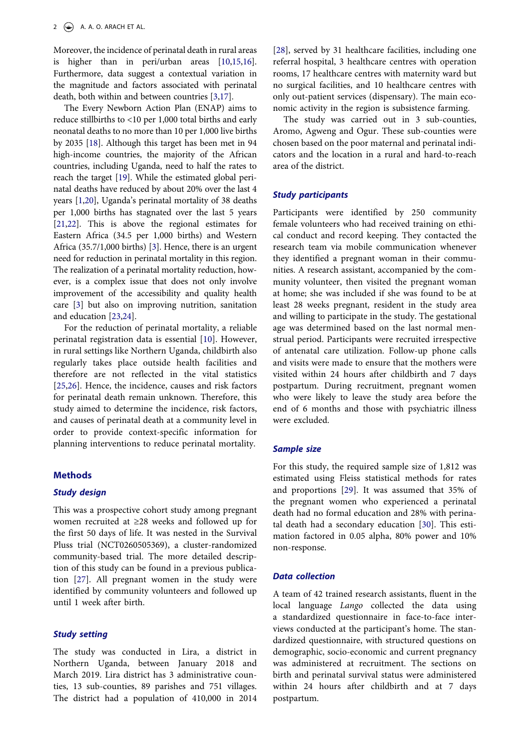<span id="page-2-1"></span>Moreover, the incidence of perinatal death in rural areas is higher than in peri/urban areas [\[10](#page-7-6),[15,](#page-7-7)[16\]](#page-7-8). Furthermore, data suggest a contextual variation in the magnitude and factors associated with perinatal death, both within and between countries [[3,](#page-7-2)[17\]](#page-7-9).

<span id="page-2-5"></span><span id="page-2-4"></span><span id="page-2-3"></span><span id="page-2-2"></span>The Every Newborn Action Plan (ENAP) aims to reduce stillbirths to <10 per 1,000 total births and early neonatal deaths to no more than 10 per 1,000 live births by 2035 [\[18\]](#page-7-10). Although this target has been met in 94 high-income countries, the majority of the African countries, including Uganda, need to half the rates to reach the target [\[19\]](#page-7-11). While the estimated global perinatal deaths have reduced by about 20% over the last 4 years [\[1](#page-7-0)[,20](#page-7-12)], Uganda's perinatal mortality of 38 deaths per 1,000 births has stagnated over the last 5 years [\[21](#page-7-13),[22\]](#page-7-14). This is above the regional estimates for Eastern Africa (34.5 per 1,000 births) and Western Africa (35.7/1,000 births) [[3\]](#page-7-2). Hence, there is an urgent need for reduction in perinatal mortality in this region. The realization of a perinatal mortality reduction, however, is a complex issue that does not only involve improvement of the accessibility and quality health care [\[3](#page-7-2)] but also on improving nutrition, sanitation and education [[23](#page-7-15),[24\]](#page-8-0).

<span id="page-2-8"></span><span id="page-2-7"></span><span id="page-2-6"></span><span id="page-2-0"></span>For the reduction of perinatal mortality, a reliable perinatal registration data is essential [\[10](#page-7-6)]. However, in rural settings like Northern Uganda, childbirth also regularly takes place outside health facilities and therefore are not reflected in the vital statistics [[25,](#page-8-1)[26](#page-8-2)]. Hence, the incidence, causes and risk factors for perinatal death remain unknown. Therefore, this study aimed to determine the incidence, risk factors, and causes of perinatal death at a community level in order to provide context-specific information for planning interventions to reduce perinatal mortality.

#### **Methods**

## *Study design*

This was a prospective cohort study among pregnant women recruited at ≥28 weeks and followed up for the first 50 days of life. It was nested in the Survival Pluss trial (NCT0260505369), a cluster-randomized community-based trial. The more detailed description of this study can be found in a previous publication [\[27](#page-8-3)]. All pregnant women in the study were identified by community volunteers and followed up until 1 week after birth.

#### <span id="page-2-9"></span>*Study setting*

The study was conducted in Lira, a district in Northern Uganda, between January 2018 and March 2019. Lira district has 3 administrative counties, 13 sub-counties, 89 parishes and 751 villages. The district had a population of 410,000 in 2014 <span id="page-2-10"></span>[\[28](#page-8-4)], served by 31 healthcare facilities, including one referral hospital, 3 healthcare centres with operation rooms, 17 healthcare centres with maternity ward but no surgical facilities, and 10 healthcare centres with only out-patient services (dispensary). The main economic activity in the region is subsistence farming.

The study was carried out in 3 sub-counties, Aromo, Agweng and Ogur. These sub-counties were chosen based on the poor maternal and perinatal indicators and the location in a rural and hard-to-reach area of the district.

#### *Study participants*

Participants were identified by 250 community female volunteers who had received training on ethical conduct and record keeping. They contacted the research team via mobile communication whenever they identified a pregnant woman in their communities. A research assistant, accompanied by the community volunteer, then visited the pregnant woman at home; she was included if she was found to be at least 28 weeks pregnant, resident in the study area and willing to participate in the study. The gestational age was determined based on the last normal menstrual period. Participants were recruited irrespective of antenatal care utilization. Follow-up phone calls and visits were made to ensure that the mothers were visited within 24 hours after childbirth and 7 days postpartum. During recruitment, pregnant women who were likely to leave the study area before the end of 6 months and those with psychiatric illness were excluded.

#### *Sample size*

<span id="page-2-12"></span><span id="page-2-11"></span>For this study, the required sample size of 1,812 was estimated using Fleiss statistical methods for rates and proportions [[29\]](#page-8-5). It was assumed that 35% of the pregnant women who experienced a perinatal death had no formal education and 28% with perinatal death had a secondary education [[30](#page-8-6)]. This estimation factored in 0.05 alpha, 80% power and 10% non-response.

#### *Data collection*

A team of 42 trained research assistants, fluent in the local language *Lango* collected the data using a standardized questionnaire in face-to-face interviews conducted at the participant's home. The standardized questionnaire, with structured questions on demographic, socio-economic and current pregnancy was administered at recruitment. The sections on birth and perinatal survival status were administered within 24 hours after childbirth and at 7 days postpartum.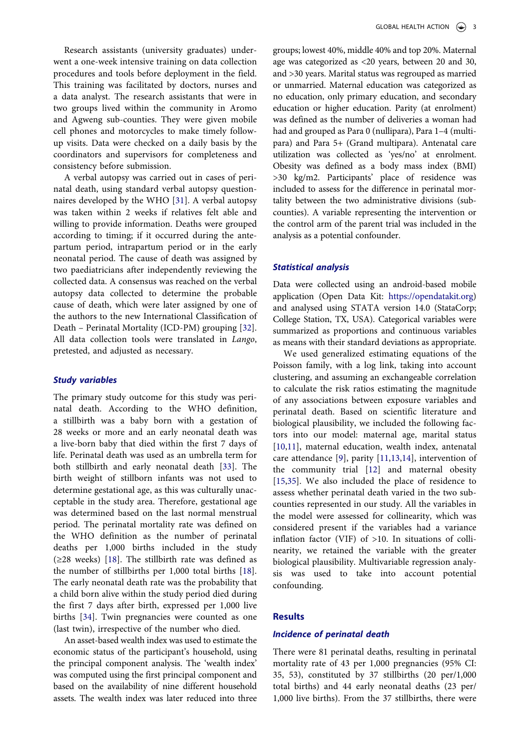Research assistants (university graduates) underwent a one-week intensive training on data collection procedures and tools before deployment in the field. This training was facilitated by doctors, nurses and a data analyst. The research assistants that were in two groups lived within the community in Aromo and Agweng sub-counties. They were given mobile cell phones and motorcycles to make timely followup visits. Data were checked on a daily basis by the coordinators and supervisors for completeness and consistency before submission.

<span id="page-3-2"></span>A verbal autopsy was carried out in cases of perinatal death, using standard verbal autopsy questionnaires developed by the WHO [\[31](#page-8-7)]. A verbal autopsy was taken within 2 weeks if relatives felt able and willing to provide information. Deaths were grouped according to timing; if it occurred during the antepartum period, intrapartum period or in the early neonatal period. The cause of death was assigned by two paediatricians after independently reviewing the collected data. A consensus was reached on the verbal autopsy data collected to determine the probable cause of death, which were later assigned by one of the authors to the new International Classification of Death – Perinatal Mortality (ICD-PM) grouping [[32\]](#page-8-8). All data collection tools were translated in *Lango*, pretested, and adjusted as necessary.

#### <span id="page-3-3"></span>*Study variables*

<span id="page-3-4"></span>The primary study outcome for this study was perinatal death. According to the WHO definition, a stillbirth was a baby born with a gestation of 28 weeks or more and an early neonatal death was a live-born baby that died within the first 7 days of life. Perinatal death was used as an umbrella term for both stillbirth and early neonatal death [\[33](#page-8-9)]. The birth weight of stillborn infants was not used to determine gestational age, as this was culturally unacceptable in the study area. Therefore, gestational age was determined based on the last normal menstrual period. The perinatal mortality rate was defined on the WHO definition as the number of perinatal deaths per 1,000 births included in the study (≥28 weeks) [\[18](#page-7-10)]. The stillbirth rate was defined as the number of stillbirths per 1,000 total births [[18\]](#page-7-10). The early neonatal death rate was the probability that a child born alive within the study period died during the first 7 days after birth, expressed per 1,000 live births [\[34](#page-8-10)]. Twin pregnancies were counted as one (last twin), irrespective of the number who died.

<span id="page-3-5"></span>An asset-based wealth index was used to estimate the economic status of the participant's household, using the principal component analysis. The 'wealth index' was computed using the first principal component and based on the availability of nine different household assets. The wealth index was later reduced into three

groups; lowest 40%, middle 40% and top 20%. Maternal age was categorized as <20 years, between 20 and 30, and >30 years. Marital status was regrouped as married or unmarried. Maternal education was categorized as no education, only primary education, and secondary education or higher education. Parity (at enrolment) was defined as the number of deliveries a woman had had and grouped as Para 0 (nullipara), Para 1-4 (multipara) and Para 5+ (Grand multipara). Antenatal care utilization was collected as 'yes/no' at enrolment. Obesity was defined as a body mass index (BMI) >30 kg/m2. Participants' place of residence was included to assess for the difference in perinatal mortality between the two administrative divisions (subcounties). A variable representing the intervention or the control arm of the parent trial was included in the analysis as a potential confounder.

#### *Statistical analysis*

Data were collected using an android-based mobile application (Open Data Kit: [https://opendatakit.org\)](https://opendatakit.org) and analysed using STATA version 14.0 (StataCorp; College Station, TX, USA). Categorical variables were summarized as proportions and continuous variables as means with their standard deviations as appropriate.

<span id="page-3-6"></span><span id="page-3-1"></span><span id="page-3-0"></span>We used generalized estimating equations of the Poisson family, with a log link, taking into account clustering, and assuming an exchangeable correlation to calculate the risk ratios estimating the magnitude of any associations between exposure variables and perinatal death. Based on scientific literature and biological plausibility, we included the following factors into our model: maternal age, marital status [\[10](#page-7-6),[11\]](#page-7-16), maternal education, wealth index, antenatal care attendance [\[9](#page-7-17)], parity [[11,](#page-7-16)[13](#page-7-18),[14\]](#page-7-19), intervention of the community trial [[12](#page-7-20)] and maternal obesity [\[15](#page-7-7),[35\]](#page-8-11). We also included the place of residence to assess whether perinatal death varied in the two subcounties represented in our study. All the variables in the model were assessed for collinearity, which was considered present if the variables had a variance inflation factor (VIF) of >10. In situations of collinearity, we retained the variable with the greater biological plausibility. Multivariable regression analysis was used to take into account potential confounding.

## **Results**

#### *Incidence of perinatal death*

There were 81 perinatal deaths, resulting in perinatal mortality rate of 43 per 1,000 pregnancies (95% CI: 35, 53), constituted by 37 stillbirths (20 per/1,000 total births) and 44 early neonatal deaths (23 per/ 1,000 live births). From the 37 stillbirths, there were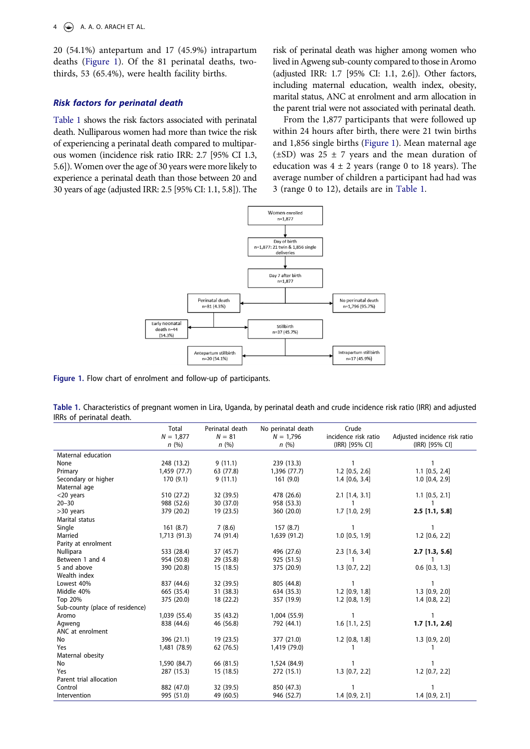20 (54.1%) antepartum and 17 (45.9%) intrapartum deaths ([Figure 1\)](#page-4-0). Of the 81 perinatal deaths, twothirds, 53 (65.4%), were health facility births.

## *Risk factors for perinatal death*

[Table 1](#page-4-1) shows the risk factors associated with perinatal death. Nulliparous women had more than twice the risk of experiencing a perinatal death compared to multiparous women (incidence risk ratio IRR: 2.7 [95% CI 1.3, 5.6]). Women over the age of 30 years were more likely to experience a perinatal death than those between 20 and 30 years of age (adjusted IRR: 2.5 [95% CI: 1.1, 5.8]). The risk of perinatal death was higher among women who lived in Agweng sub-county compared to those in Aromo (adjusted IRR: 1.7 [95% CI: 1.1, 2.6]). Other factors, including maternal education, wealth index, obesity, marital status, ANC at enrolment and arm allocation in the parent trial were not associated with perinatal death.

From the 1,877 participants that were followed up within 24 hours after birth, there were 21 twin births and 1,856 single births [\(Figure 1\)](#page-4-0). Mean maternal age  $(\pm SD)$  was 25  $\pm$  7 years and the mean duration of education was  $4 \pm 2$  years (range 0 to 18 years). The average number of children a participant had had was 3 (range 0 to 12), details are in [Table 1](#page-4-1).



<span id="page-4-0"></span>**Figure 1.** Flow chart of enrolment and follow-up of participants.

<span id="page-4-1"></span>**Table 1.** Characteristics of pregnant women in Lira, Uganda, by perinatal death and crude incidence risk ratio (IRR) and adjusted IRRs of perinatal death.

|                                 | Total<br>$N = 1.877$<br>n(%) | Perinatal death<br>$N = 81$<br>n(%) | No perinatal death<br>$N = 1,796$<br>n(%) | Crude<br>incidence risk ratio<br>(IRR) [95% CI] | Adjusted incidence risk ratio<br>(IRR) [95% CI] |  |
|---------------------------------|------------------------------|-------------------------------------|-------------------------------------------|-------------------------------------------------|-------------------------------------------------|--|
| Maternal education              |                              |                                     |                                           |                                                 |                                                 |  |
| None                            | 248 (13.2)                   | 9(11.1)                             | 239 (13.3)                                | $\mathbf{1}$                                    | 1                                               |  |
| Primary                         | 1,459 (77.7)                 | 63 (77.8)                           | 1,396 (77.7)                              | $1.2$ [0.5, 2.6]                                | $1.1$ [0.5, 2.4]                                |  |
| Secondary or higher             | 170 (9.1)                    | 9(11.1)                             | 161(9.0)                                  | $1.4$ [0.6, 3.4]                                | $1.0$ [0.4, 2.9]                                |  |
| Maternal age                    |                              |                                     |                                           |                                                 |                                                 |  |
| $<$ 20 years                    | 510 (27.2)                   | 32 (39.5)                           | 478 (26.6)                                | $2.1$ [1.4, 3.1]                                | $1.1$ [0.5, 2.1]                                |  |
| $20 - 30$                       | 988 (52.6)                   | 30 (37.0)                           | 958 (53.3)                                | 1                                               | 1                                               |  |
| >30 years                       | 379 (20.2)                   | 19 (23.5)                           | 360 (20.0)                                | 1.7 [1.0, 2.9]                                  | $2.5$ [1.1, 5.8]                                |  |
| Marital status                  |                              |                                     |                                           |                                                 |                                                 |  |
| Single                          | 161(8.7)                     | 7(8.6)                              | 157(8.7)                                  | $\mathbf{1}$                                    | 1                                               |  |
| Married                         | 1,713 (91.3)                 | 74 (91.4)                           | 1,639 (91.2)                              | $1.0$ [0.5, 1.9]                                | $1.2$ [0.6, 2.2]                                |  |
| Parity at enrolment             |                              |                                     |                                           |                                                 |                                                 |  |
| Nullipara                       | 533 (28.4)                   | 37 (45.7)                           | 496 (27.6)                                | $2.3$ [1.6, 3.4]                                | $2.7$ [1.3, 5.6]                                |  |
| Between 1 and 4                 | 954 (50.8)                   | 29 (35.8)                           | 925 (51.5)                                | 1                                               | 1                                               |  |
| 5 and above                     | 390 (20.8)                   | 15(18.5)                            | 375 (20.9)                                | $1.3$ $[0.7, 2.2]$                              | $0.6$ [0.3, 1.3]                                |  |
| Wealth index                    |                              |                                     |                                           |                                                 |                                                 |  |
| Lowest 40%                      | 837 (44.6)                   | 32 (39.5)                           | 805 (44.8)                                | $\mathbf{1}$                                    | $\mathbf{1}$                                    |  |
| Middle 40%                      | 665 (35.4)                   | 31 (38.3)                           | 634 (35.3)                                | $1.2$ [0.9, 1.8]                                | $1.3$ [0.9, 2.0]                                |  |
| Top 20%                         | 375 (20.0)                   | 18 (22.2)                           | 357 (19.9)                                | $1.2$ [0.8, 1.9]                                | $1.4$ [0.8, 2.2]                                |  |
| Sub-county (place of residence) |                              |                                     |                                           |                                                 |                                                 |  |
| Aromo                           | 1,039 (55.4)                 | 35 (43.2)                           | 1,004 (55.9)                              | 1                                               | 1                                               |  |
| Agweng                          | 838 (44.6)                   | 46 (56.8)                           | 792 (44.1)                                | $1.6$ [1.1, 2.5]                                | $1.7$ [1.1, 2.6]                                |  |
| ANC at enrolment                |                              |                                     |                                           |                                                 |                                                 |  |
| No                              | 396 (21.1)                   | 19(23.5)                            | 377 (21.0)                                | $1.2$ [0.8, 1.8]                                | $1.3$ [0.9, 2.0]                                |  |
| Yes                             | 1,481 (78.9)                 | 62 (76.5)                           | 1,419 (79.0)                              | 1                                               | 1                                               |  |
| Maternal obesity                |                              |                                     |                                           |                                                 |                                                 |  |
| No                              | 1,590 (84.7)                 | 66 (81.5)                           | 1,524 (84.9)                              | 1                                               | 1                                               |  |
| Yes                             | 287 (15.3)                   | 15(18.5)                            | 272 (15.1)                                | $1.3$ [0.7, 2.2]                                | $1.2$ [0.7, 2.2]                                |  |
| Parent trial allocation         |                              |                                     |                                           |                                                 |                                                 |  |
| Control                         | 882 (47.0)                   | 32 (39.5)                           | 850 (47.3)                                | 1                                               | 1                                               |  |
| Intervention                    | 995 (51.0)                   | 49 (60.5)                           | 946 (52.7)                                | $1.4$ [0.9, 2.1]                                | $1.4$ [0.9, 2.1]                                |  |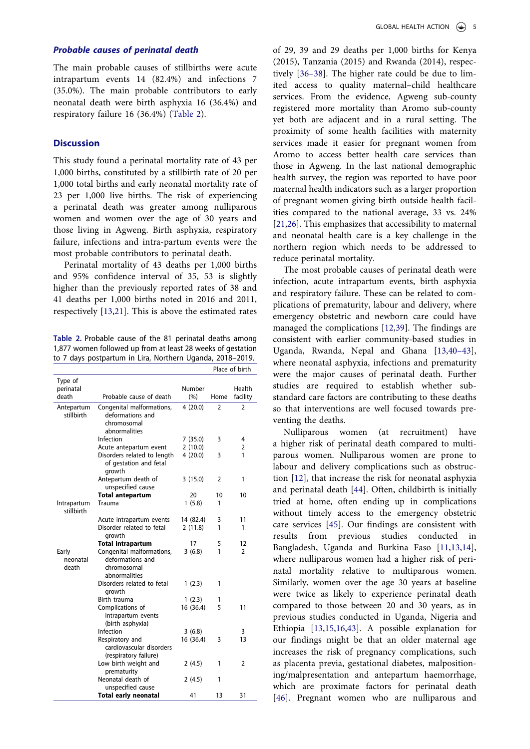#### *Probable causes of perinatal death*

The main probable causes of stillbirths were acute intrapartum events 14 (82.4%) and infections 7 (35.0%). The main probable contributors to early neonatal death were birth asphyxia 16 (36.4%) and respiratory failure 16 (36.4%) ([Table 2\)](#page-5-0).

## **Discussion**

This study found a perinatal mortality rate of 43 per 1,000 births, constituted by a stillbirth rate of 20 per 1,000 total births and early neonatal mortality rate of 23 per 1,000 live births. The risk of experiencing a perinatal death was greater among nulliparous women and women over the age of 30 years and those living in Agweng. Birth asphyxia, respiratory failure, infections and intra-partum events were the most probable contributors to perinatal death.

Perinatal mortality of 43 deaths per 1,000 births and 95% confidence interval of 35, 53 is slightly higher than the previously reported rates of 38 and 41 deaths per 1,000 births noted in 2016 and 2011, respectively [\[13](#page-7-18),[21\]](#page-7-13). This is above the estimated rates

<span id="page-5-0"></span>**Table 2.** Probable cause of the 81 perinatal deaths among 1,877 women followed up from at least 28 weeks of gestation to 7 days postpartum in Lira, Northern Uganda, 2018–2019.

|                               |                                                                               |                | Place of birth |                    |
|-------------------------------|-------------------------------------------------------------------------------|----------------|----------------|--------------------|
| Type of<br>perinatal<br>death | Probable cause of death                                                       | Number<br>(% ) | Home           | Health<br>facility |
| Antepartum<br>stillbirth      | Congenital malformations,<br>deformations and<br>chromosomal<br>abnormalities | 4(20.0)        | $\mathfrak z$  | 2                  |
|                               | Infection                                                                     | 7(35.0)        | 3              | 4                  |
|                               | Acute antepartum event                                                        | 2(10.0)        |                | $\overline{2}$     |
|                               | Disorders related to length<br>of gestation and fetal<br>growth               | 4(20.0)        | 3              | 1                  |
|                               | Antepartum death of<br>unspecified cause                                      | 3(15.0)        | 2              | 1                  |
|                               | <b>Total antepartum</b>                                                       | 20             | 10             | 10                 |
| Intrapartum<br>stillbirth     | Trauma                                                                        | 1(5.8)         | 1              |                    |
|                               | Acute intrapartum events                                                      | 14 (82.4)      | 3              | 11                 |
|                               | Disorder related to fetal<br>growth                                           | 2(11.8)        | 1              | 1                  |
|                               | <b>Total intrapartum</b>                                                      | 17             | 5              | 12                 |
| Early<br>neonatal<br>death    | Congenital malformations,<br>deformations and<br>chromosomal<br>abnormalities | 3(6.8)         | 1              | $\overline{2}$     |
|                               | Disorders related to fetal<br>growth                                          | 1(2.3)         | 1              |                    |
|                               | Birth trauma                                                                  | 1(2.3)         | 1              |                    |
|                               | Complications of<br>intrapartum events<br>(birth asphyxia)                    | 16 (36.4)      | 5              | 11                 |
|                               | Infection                                                                     | 3(6.8)         |                | 3                  |
|                               | Respiratory and<br>cardiovascular disorders<br>(respiratory failure)          | 16 (36.4)      | 3              | 13                 |
|                               | Low birth weight and<br>prematurity                                           | 2(4.5)         | 1              | 2                  |
|                               | Neonatal death of<br>unspecified cause                                        | 2(4.5)         | 1              |                    |
|                               | <b>Total early neonatal</b>                                                   | 41             | 13             | 31                 |

<span id="page-5-1"></span>of 29, 39 and 29 deaths per 1,000 births for Kenya (2015), Tanzania (2015) and Rwanda (2014), respectively [[36–38\]](#page-8-12). The higher rate could be due to limited access to quality maternal–child healthcare services. From the evidence, Agweng sub-county registered more mortality than Aromo sub-county yet both are adjacent and in a rural setting. The proximity of some health facilities with maternity services made it easier for pregnant women from Aromo to access better health care services than those in Agweng. In the last national demographic health survey, the region was reported to have poor maternal health indicators such as a larger proportion of pregnant women giving birth outside health facilities compared to the national average, 33 vs. 24% [\[21](#page-7-13),[26\]](#page-8-2). This emphasizes that accessibility to maternal and neonatal health care is a key challenge in the northern region which needs to be addressed to reduce perinatal mortality.

<span id="page-5-3"></span><span id="page-5-2"></span>The most probable causes of perinatal death were infection, acute intrapartum events, birth asphyxia and respiratory failure. These can be related to complications of prematurity, labour and delivery, where emergency obstetric and newborn care could have managed the complications [\[12](#page-7-20),[39\]](#page-8-13). The findings are consistent with earlier community-based studies in Uganda, Rwanda, Nepal and Ghana [\[13](#page-7-18),[40–43](#page-8-14)], where neonatal asphyxia, infections and prematurity were the major causes of perinatal death. Further studies are required to establish whether substandard care factors are contributing to these deaths so that interventions are well focused towards preventing the deaths.

<span id="page-5-7"></span><span id="page-5-6"></span><span id="page-5-5"></span><span id="page-5-4"></span>Nulliparous women (at recruitment) have a higher risk of perinatal death compared to multiparous women. Nulliparous women are prone to labour and delivery complications such as obstruction [[12\]](#page-7-20), that increase the risk for neonatal asphyxia and perinatal death [[44\]](#page-8-15). Often, childbirth is initially tried at home, often ending up in complications without timely access to the emergency obstetric care services [[45\]](#page-8-16). Our findings are consistent with results from previous studies conducted in Bangladesh, Uganda and Burkina Faso [\[11](#page-7-16),[13,](#page-7-18)[14](#page-7-19)], where nulliparous women had a higher risk of perinatal mortality relative to multiparous women. Similarly, women over the age 30 years at baseline were twice as likely to experience perinatal death compared to those between 20 and 30 years, as in previous studies conducted in Uganda, Nigeria and Ethiopia [[13,](#page-7-18)[15](#page-7-7),[16,](#page-7-8)[43](#page-8-17)]. A possible explanation for our findings might be that an older maternal age increases the risk of pregnancy complications, such as placenta previa, gestational diabetes, malpositioning/malpresentation and antepartum haemorrhage, which are proximate factors for perinatal death [\[46](#page-8-18)]. Pregnant women who are nulliparous and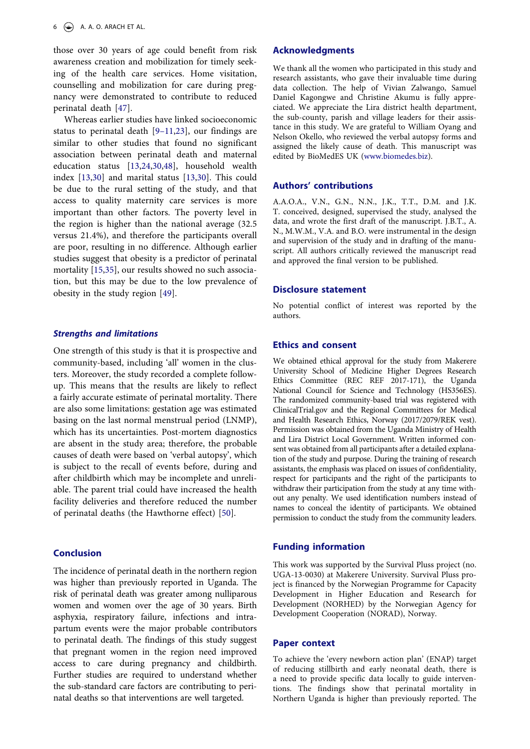those over 30 years of age could benefit from risk awareness creation and mobilization for timely seeking of the health care services. Home visitation, counselling and mobilization for care during pregnancy were demonstrated to contribute to reduced perinatal death [[47\]](#page-8-19).

<span id="page-6-1"></span><span id="page-6-0"></span>Whereas earlier studies have linked socioeconomic status to perinatal death [\[9–11](#page-7-17)[,23](#page-7-15)], our findings are similar to other studies that found no significant association between perinatal death and maternal education status [\[13,](#page-7-18)[24](#page-8-0)[,30,](#page-8-6)[48\]](#page-8-20), household wealth index [\[13,](#page-7-18)[30\]](#page-8-6) and marital status [\[13](#page-7-18),[30\]](#page-8-6). This could be due to the rural setting of the study, and that access to quality maternity care services is more important than other factors. The poverty level in the region is higher than the national average (32.5 versus 21.4%), and therefore the participants overall are poor, resulting in no difference. Although earlier studies suggest that obesity is a predictor of perinatal mortality [[15,](#page-7-7)[35](#page-8-11)], our results showed no such association, but this may be due to the low prevalence of obesity in the study region [[49\]](#page-8-21).

#### <span id="page-6-2"></span>*Strengths and limitations*

One strength of this study is that it is prospective and community-based, including 'all' women in the clusters. Moreover, the study recorded a complete followup. This means that the results are likely to reflect a fairly accurate estimate of perinatal mortality. There are also some limitations: gestation age was estimated basing on the last normal menstrual period (LNMP), which has its uncertainties. Post-mortem diagnostics are absent in the study area; therefore, the probable causes of death were based on 'verbal autopsy', which is subject to the recall of events before, during and after childbirth which may be incomplete and unreliable. The parent trial could have increased the health facility deliveries and therefore reduced the number of perinatal deaths (the Hawthorne effect) [\[50](#page-8-22)].

## <span id="page-6-3"></span>**Conclusion**

The incidence of perinatal death in the northern region was higher than previously reported in Uganda. The risk of perinatal death was greater among nulliparous women and women over the age of 30 years. Birth asphyxia, respiratory failure, infections and intrapartum events were the major probable contributors to perinatal death. The findings of this study suggest that pregnant women in the region need improved access to care during pregnancy and childbirth. Further studies are required to understand whether the sub-standard care factors are contributing to perinatal deaths so that interventions are well targeted.

#### **Acknowledgments**

We thank all the women who participated in this study and research assistants, who gave their invaluable time during data collection. The help of Vivian Zalwango, Samuel Daniel Kagongwe and Christine Akumu is fully appreciated. We appreciate the Lira district health department, the sub-county, parish and village leaders for their assistance in this study. We are grateful to William Oyang and Nelson Okello, who reviewed the verbal autopsy forms and assigned the likely cause of death. This manuscript was edited by BioMedES UK ([www.biomedes.biz\)](http://www.biomedes.biz).

#### **Authors' contributions**

A.A.O.A., V.N., G.N., N.N., J.K., T.T., D.M. and J.K. T. conceived, designed, supervised the study, analysed the data, and wrote the first draft of the manuscript. J.B.T., A. N., M.W.M., V.A. and B.O. were instrumental in the design and supervision of the study and in drafting of the manuscript. All authors critically reviewed the manuscript read and approved the final version to be published.

#### **Disclosure statement**

No potential conflict of interest was reported by the authors.

#### **Ethics and consent**

We obtained ethical approval for the study from Makerere University School of Medicine Higher Degrees Research Ethics Committee (REC REF 2017-171), the Uganda National Council for Science and Technology (HS356ES). The randomized community-based trial was registered with ClinicalTrial.gov and the Regional Committees for Medical and Health Research Ethics, Norway (2017/2079/REK vest). Permission was obtained from the Uganda Ministry of Health and Lira District Local Government. Written informed consent was obtained from all participants after a detailed explanation of the study and purpose. During the training of research assistants, the emphasis was placed on issues of confidentiality, respect for participants and the right of the participants to withdraw their participation from the study at any time without any penalty. We used identification numbers instead of names to conceal the identity of participants. We obtained permission to conduct the study from the community leaders.

#### **Funding information**

This work was supported by the Survival Pluss project (no. UGA-13-0030) at Makerere University. Survival Pluss project is financed by the Norwegian Programme for Capacity Development in Higher Education and Research for Development (NORHED) by the Norwegian Agency for Development Cooperation (NORAD), Norway.

#### **Paper context**

To achieve the 'every newborn action plan' (ENAP) target of reducing stillbirth and early neonatal death, there is a need to provide specific data locally to guide interventions. The findings show that perinatal mortality in Northern Uganda is higher than previously reported. The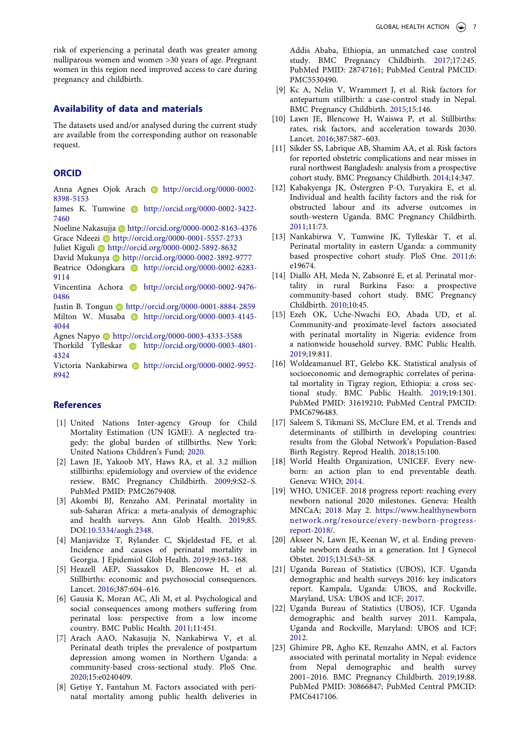risk of experiencing a perinatal death was greater among nulliparous women and women >30 years of age. Pregnant women in this region need improved access to care during pregnancy and childbirth.

### **Availability of data and materials**

The datasets used and/or analysed during the current study are available from the corresponding author on reasonable request.

### **ORCID**

Anna Agnes Ojok Arach **b** http://orcid.org/0000-0002-8398-5153

James K. Tumwine **b** http://orcid.org/0000-0002-3422-7460

Noeline Nakasujja **b** http://orcid.org/0000-0002-8163-4376 Grace Ndeezi D http://orcid.org/0000-0001-5557-2733

Juliet Kiguli **b** http://orcid.org/0000-0002-5892-8632

David Mukunya Dhttp://orcid.org/0000-0002-3892-9777 Beatrice Odongkara **http://orcid.org/0000-0002-6283-**9114

Vincentina Achora **b** http://orcid.org/0000-0002-9476-0486

Justin B. Tongun **b** http://orcid.org/0000-0001-8884-2859 Milton W. Musaba http://orcid.org/0000-0003-4145-4044

Agnes Napyo http://orcid.org/0000-0003-4333-3588 Thorkild Tylleskar **http://orcid.org/0000-0003-4801-**4324

Victoria Nankabirwa **http://orcid.org/0000-0002-9952-**8942

## **References**

- <span id="page-7-0"></span>[1] United Nations Inter-agency Group for Child Mortality Estimation (UN IGME). A neglected tragedy: the global burden of stillbirths. New York: United Nations Children's Fund; [2020.](#page-1-10)
- <span id="page-7-1"></span>[2] Lawn JE, Yakoob MY, Haws RA, et al. 3.2 million stillbirths: epidemiology and overview of the evidence review. BMC Pregnancy Childbirth. [2009](#page-1-11);9:S2–S. PubMed PMID: PMC2679408.
- <span id="page-7-2"></span>[3] Akombi BJ, Renzaho AM. Perinatal mortality in sub-Saharan Africa: a meta-analysis of demographic and health surveys. Ann Glob Health. [2019](#page-1-12);85. DOI:[10.5334/aogh.2348](https://doi.org/10.5334/aogh.2348).
- <span id="page-7-3"></span>[4] Manjavidze T, Rylander C, Skjeldestad FE, et al. Incidence and causes of perinatal mortality in Georgia. J Epidemiol Glob Health. [2019](#page-1-13);9:163–168.
- <span id="page-7-4"></span>[5] Heazell AEP, Siassakos D, Blencowe H, et al. Stillbirths: economic and psychosocial consequences. Lancet. [2016;](#page-1-14)387:604–616.
- [6] Gausia K, Moran AC, Ali M, et al. Psychological and social consequences among mothers suffering from perinatal loss: perspective from a low income country. BMC Public Health. 2011;11:451.
- [7] Arach AAO, Nakasujja N, Nankabirwa V, et al. Perinatal death triples the prevalence of postpartum depression among women in Northern Uganda: a community-based cross-sectional study. PloS One. 2020;15:e0240409.
- <span id="page-7-5"></span>[8] Getiye Y, Fantahun M. Factors associated with perinatal mortality among public health deliveries in

Addis Ababa, Ethiopia, an unmatched case control study. BMC Pregnancy Childbirth. [2017;](#page-1-15)17:245. PubMed PMID: 28747161; PubMed Central PMCID: PMC5530490.

- <span id="page-7-17"></span>[9] Kc A, Nelin V, Wrammert J, et al. Risk factors for antepartum stillbirth: a case-control study in Nepal. BMC Pregnancy Childbirth. [2015](#page-3-0);15:146.
- <span id="page-7-6"></span>[10] Lawn JE, Blencowe H, Waiswa P, et al. Stillbirths: rates, risk factors, and acceleration towards 2030. Lancet. [2016;](#page-2-0)387:587–603.
- <span id="page-7-16"></span>[11] Sikder SS, Labrique AB, Shamim AA, et al. Risk factors for reported obstetric complications and near misses in rural northwest Bangladesh: analysis from a prospective cohort study. BMC Pregnancy Childbirth. [2014](#page-3-0);14:347.
- <span id="page-7-20"></span>[12] Kabakyenga JK, Östergren P-O, Turyakira E, et al. Individual and health facility factors and the risk for obstructed labour and its adverse outcomes in south-western Uganda. BMC Pregnancy Childbirth. [2011;](#page-3-1)11:73.
- <span id="page-7-18"></span>[13] Nankabirwa V, Tumwine JK, Tylleskär T, et al. Perinatal mortality in eastern Uganda: a community based prospective cohort study. PloS One. [2011](#page-3-0);6: e19674.
- <span id="page-7-19"></span>[14] Diallo AH, Meda N, Zabsonré E, et al. Perinatal mortality in rural Burkina Faso: a prospective community-based cohort study. BMC Pregnancy Childbirth. [2010](#page-3-0);10:45.
- <span id="page-7-7"></span>[15] Ezeh OK, Uche-Nwachi EO, Abada UD, et al. Community-and proximate-level factors associated with perinatal mortality in Nigeria: evidence from a nationwide household survey. BMC Public Health. [2019;](#page-2-1)19:811.
- <span id="page-7-8"></span>[16] Woldeamanuel BT, Gelebo KK. Statistical analysis of socioeconomic and demographic correlates of perinatal mortality in Tigray region, Ethiopia: a cross sectional study. BMC Public Health. [2019](#page-2-1);19:1301. PubMed PMID: 31619210; PubMed Central PMCID: PMC6796483.
- <span id="page-7-9"></span>[17] Saleem S, Tikmani SS, McClure EM, et al. Trends and determinants of stillbirth in developing countries: results from the Global Network's Population-Based Birth Registry. Reprod Health. [2018;](#page-2-2)15:100.
- <span id="page-7-10"></span>[18] World Health Organization, UNICEF. Every newborn: an action plan to end preventable death. Geneva: WHO; [2014.](#page-2-3)
- <span id="page-7-11"></span>[19] WHO, UNICEF. 2018 progress report: reaching every newborn national 2020 milestones. Geneva: Health MNCaA; [2018](#page-2-4) May 2. [https://www.healthynewborn](https://www.healthynewbornnetwork.org/resource/every-newborn-progress-report-2018/) [network.org/resource/every-newborn-progress](https://www.healthynewbornnetwork.org/resource/every-newborn-progress-report-2018/)[report-2018/](https://www.healthynewbornnetwork.org/resource/every-newborn-progress-report-2018/).
- <span id="page-7-12"></span>[20] Akseer N, Lawn JE, Keenan W, et al. Ending preventable newborn deaths in a generation. Int J Gynecol Obstet. [2015](#page-2-5);131:S43–S8.
- <span id="page-7-13"></span>[21] Uganda Bureau of Statistics (UBOS), ICF. Uganda demographic and health surveys 2016: key indicators report. Kampala, Uganda: UBOS, and Rockville, Maryland, USA: UBOS and ICF; [2017.](#page-2-6)
- <span id="page-7-14"></span>[22] Uganda Bureau of Statistics (UBOS), ICF. Uganda demographic and health survey 2011. Kampala, Uganda and Rockville, Maryland: UBOS and ICF; [2012.](#page-2-6)
- <span id="page-7-15"></span>[23] Ghimire PR, Agho KE, Renzaho AMN, et al. Factors associated with perinatal mortality in Nepal: evidence from Nepal demographic and health survey 2001–2016. BMC Pregnancy Childbirth. [2019;](#page-2-7)19:88. PubMed PMID: 30866847; PubMed Central PMCID: PMC6417106.